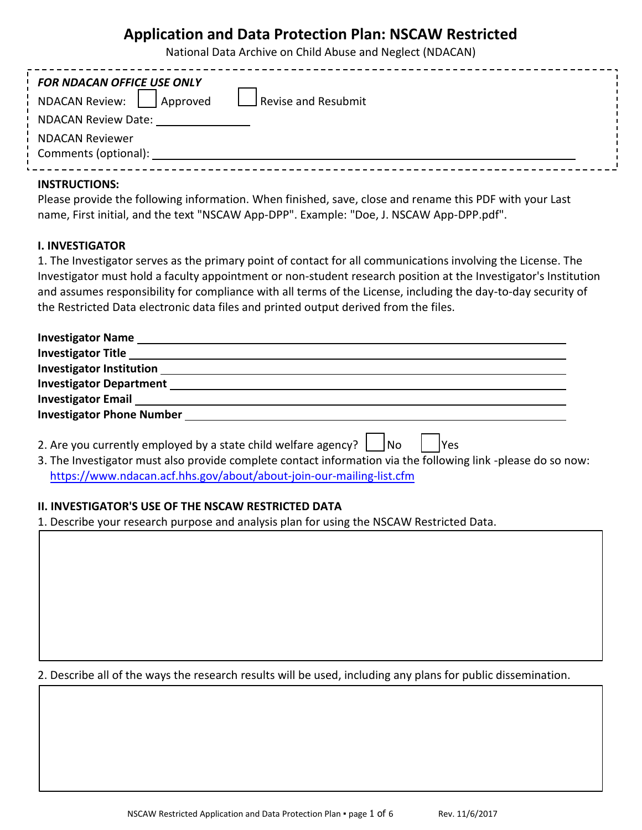# **Application and Data Protection Plan: NSCAW Restricted**

National Data Archive on Child Abuse and Neglect (NDACAN)

| <b>FOR NDACAN OFFICE USE ONLY</b><br>Approved<br><b>NDACAN Review:</b> | Revise and Resubmit |  |
|------------------------------------------------------------------------|---------------------|--|
| <b>NDACAN Review Date:</b>                                             |                     |  |
| <b>NDACAN Reviewer</b><br>Comments (optional):                         |                     |  |

#### **INSTRUCTIONS:**

Please provide the following information. When finished, save, close and rename this PDF with your Last name, First initial, and the text "NSCAW App-DPP". Example: "Doe, J. NSCAW App-DPP.pdf".

#### **I. INVESTIGATOR**

1. The Investigator serves as the primary point of contact for all communications involving the License. The Investigator must hold a faculty appointment or non-student research position at the Investigator's Institution and assumes responsibility for compliance with all terms of the License, including the day-to-day security of the Restricted Data electronic data files and printed output derived from the files.

| 2. Are you currently employed by a state child welfare agency? $\Box$ No<br>lYes |
|----------------------------------------------------------------------------------|

3. The Investigator must also provide complete contact information via the following link -please do so now: <https://www.ndacan.acf.hhs.gov/about/about-join-our-mailing-list.cfm>

#### **II. INVESTIGATOR'S USE OF THE NSCAW RESTRICTED DATA**

1. Describe your research purpose and analysis plan for using the NSCAW Restricted Data.

2. Describe all of the ways the research results will be used, including any plans for public dissemination.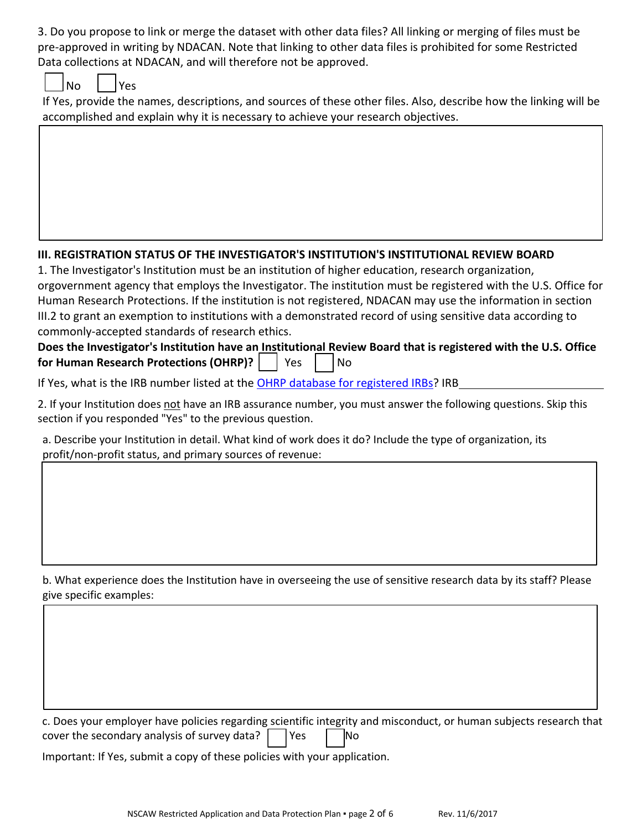3. Do you propose to link or merge the dataset with other data files? All linking or merging of files must be pre-approved in writing by NDACAN. Note that linking to other data files is prohibited for some Restricted Data collections at NDACAN, and will therefore not be approved.

| N∩ |  | ρc |
|----|--|----|
|----|--|----|

If Yes, provide the names, descriptions, and sources of these other files. Also, describe how the linking will be accomplished and explain why it is necessary to achieve your research objectives.

# **III. REGISTRATION STATUS OF THE INVESTIGATOR'S INSTITUTION'S INSTITUTIONAL REVIEW BOARD**

1. The Investigator's Institution must be an institution of higher education, research organization, orgovernment agency that employs the Investigator. The institution must be registered with the U.S. Office for Human Research Protections. If the institution is not registered, NDACAN may use the information in section III.2 to grant an exemption to institutions with a demonstrated record of using sensitive data according to commonly-accepted standards of research ethics.

## **Does the Investigator's Institution have an Institutional Review Board that is registered with the U.S. Office for Human Research Protections (OHRP)?** | Yes | No

If Yes, what is the IRB number listed at the [OHRP database for registered IRBs](http://ohrp.cit.nih.gov/search/irbsearch.aspx?styp=bsc)? IRB

2. If your Institution does not have an IRB assurance number, you must answer the following questions. Skip this section if you responded "Yes" to the previous question.

a. Describe your Institution in detail. What kind of work does it do? Include the type of organization, its profit/non-profit status, and primary sources of revenue:

b. What experience does the Institution have in overseeing the use of sensitive research data by its staff? Please give specific examples:

c. Does your employer have policies regarding scientific integrity and misconduct, or human subjects research that cover the secondary analysis of survey data? Yes No

Important: If Yes, submit a copy of these policies with your application.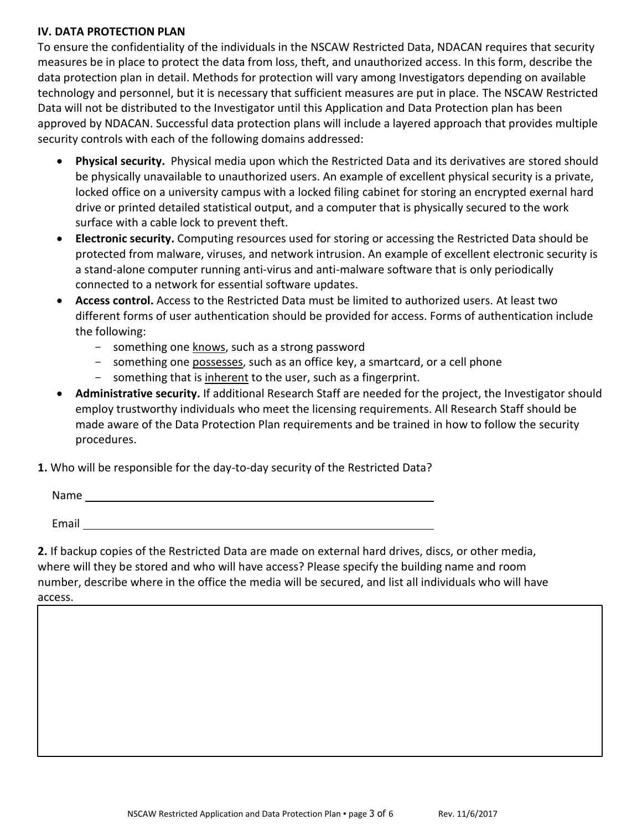#### **IV. DATA PROTECTION PLAN**

To ensure the confidentiality of the individuals in the NSCAW Restricted Data, NDACAN requires that security measures be in place to protect the data from loss, theft, and unauthorized access. In this form, describe the data protection plan in detail. Methods for protection will vary among Investigators depending on available technology and personnel, but it is necessary that sufficient measures are put in place. The NSCAW Restricted Data will not be distributed to the Investigator until this Application and Data Protection plan has been approved by NDACAN. Successful data protection plans will include a layered approach that provides multiple security controls with each of the following domains addressed:

- Physical security. Physical media upon which the Restricted Data and its derivatives are stored should be physically unavailable to unauthorized users. An example of excellent physical security is a private, locked office on a university campus with a locked filing cabinet for storing an encrypted exernal hard drive or printed detailed statistical output, and a computer that is physically secured to the work surface with a cable lock to prevent theft.
- · **Electronic security.** Computing resources used for storing or accessing the Restricted Data should be protected from malware, viruses, and network intrusion. An example of excellent electronic security is a stand-alone computer running anti-virus and anti-malware software that is only periodically connected to a network for essential software updates.
- · **Access control.** Access to the Restricted Data must be limited to authorized users. At least two different forms of user authentication should be provided for access. Forms of authentication include the following:
	- something one knows, such as a strong password
	- something one possesses, such as an office key, a smartcard, or a cell phone
	- something that is inherent to the user, such as a fingerprint.
- · **Administrative security.** If additional Research Staff are needed for the project, the Investigator should employ trustworthy individuals who meet the licensing requirements. All Research Staff should be made aware of the Data Protection Plan requirements and be trained in how to follow the security procedures.
- **1.** Who will be responsible for the day-to-day security of the Restricted Data?

| Name  |  |  |
|-------|--|--|
|       |  |  |
| Email |  |  |

**2.** If backup copies of the Restricted Data are made on external hard drives, discs, or other media, where will they be stored and who will have access? Please specify the building name and room number, describe where in the office the media will be secured, and list all individuals who will have access.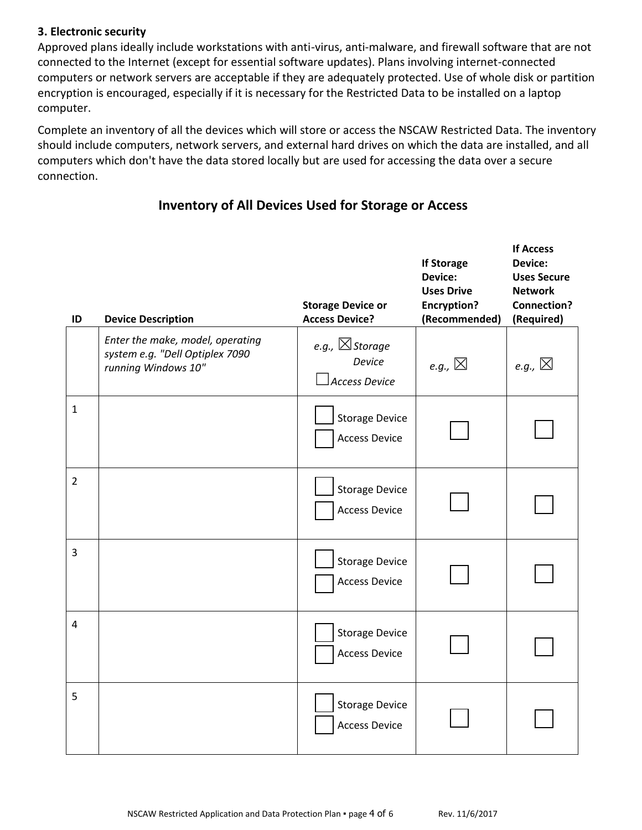### **3. Electronic security**

Approved plans ideally include workstations with anti-virus, anti-malware, and firewall software that are not connected to the Internet (except for essential software updates). Plans involving internet-connected computers or network servers are acceptable if they are adequately protected. Use of whole disk or partition encryption is encouraged, especially if it is necessary for the Restricted Data to be installed on a laptop computer.

Complete an inventory of all the devices which will store or access the NSCAW Restricted Data. The inventory should include computers, network servers, and external hard drives on which the data are installed, and all computers which don't have the data stored locally but are used for accessing the data over a secure connection.

# **Inventory of All Devices Used for Storage or Access**

| ID             | <b>Device Description</b>                                                                  | <b>Storage Device or</b><br><b>Access Device?</b>           | <b>If Storage</b><br>Device:<br><b>Uses Drive</b><br><b>Encryption?</b><br>(Recommended) | <b>If Access</b><br><b>Device:</b><br><b>Uses Secure</b><br><b>Network</b><br><b>Connection?</b><br>(Required) |
|----------------|--------------------------------------------------------------------------------------------|-------------------------------------------------------------|------------------------------------------------------------------------------------------|----------------------------------------------------------------------------------------------------------------|
|                | Enter the make, model, operating<br>system e.g. "Dell Optiplex 7090<br>running Windows 10" | e.g., $\boxtimes$ Storage<br>Device<br><b>Access Device</b> | e.g., $\boxtimes$                                                                        | e.g., $\boxtimes$                                                                                              |
| $\mathbf{1}$   |                                                                                            | <b>Storage Device</b><br><b>Access Device</b>               |                                                                                          |                                                                                                                |
| $\overline{2}$ |                                                                                            | <b>Storage Device</b><br><b>Access Device</b>               |                                                                                          |                                                                                                                |
| $\overline{3}$ |                                                                                            | <b>Storage Device</b><br><b>Access Device</b>               |                                                                                          |                                                                                                                |
| $\overline{4}$ |                                                                                            | <b>Storage Device</b><br><b>Access Device</b>               |                                                                                          |                                                                                                                |
| 5              |                                                                                            | <b>Storage Device</b><br><b>Access Device</b>               |                                                                                          |                                                                                                                |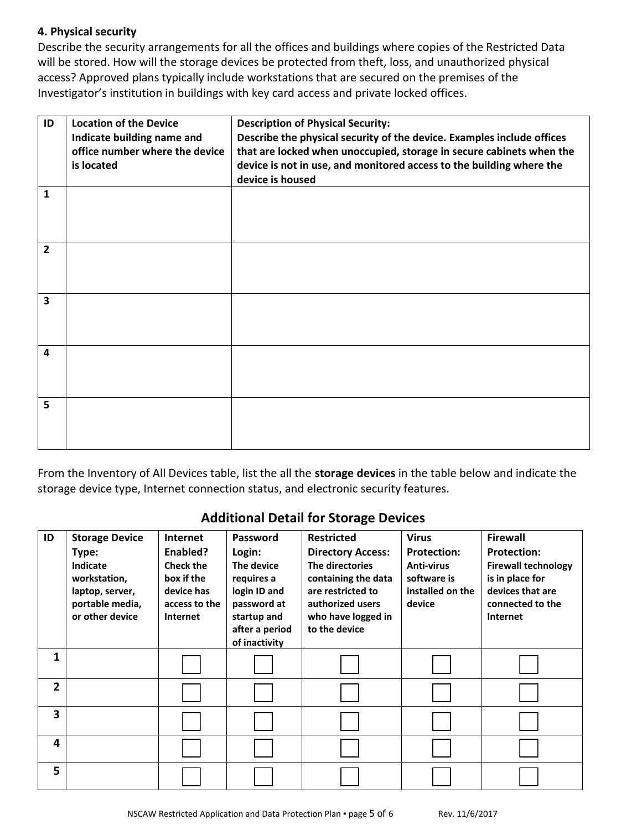### **4. Physical security**

Describe the security arrangements for all the offices and buildings where copies of the Restricted Data will be stored. How will the storage devices be protected from theft, loss, and unauthorized physical access? Approved plans typically include workstations that are secured on the premises of the Investigator's institution in buildings with key card access and private locked offices.

| ID                      | <b>Location of the Device</b>  | <b>Description of Physical Security:</b>                               |
|-------------------------|--------------------------------|------------------------------------------------------------------------|
|                         | Indicate building name and     | Describe the physical security of the device. Examples include offices |
|                         | office number where the device | that are locked when unoccupied, storage in secure cabinets when the   |
|                         | is located                     | device is not in use, and monitored access to the building where the   |
|                         |                                | device is housed                                                       |
| $\mathbf{1}$            |                                |                                                                        |
|                         |                                |                                                                        |
|                         |                                |                                                                        |
|                         |                                |                                                                        |
| $\overline{2}$          |                                |                                                                        |
|                         |                                |                                                                        |
|                         |                                |                                                                        |
| $\overline{\mathbf{3}}$ |                                |                                                                        |
|                         |                                |                                                                        |
|                         |                                |                                                                        |
|                         |                                |                                                                        |
| 4                       |                                |                                                                        |
|                         |                                |                                                                        |
|                         |                                |                                                                        |
| 5                       |                                |                                                                        |
|                         |                                |                                                                        |
|                         |                                |                                                                        |
|                         |                                |                                                                        |

From the Inventory of All Devices table, list the all the **storage devices** in the table below and indicate the storage device type, Internet connection status, and electronic security features.

## **Additional Detail for Storage Devices**

| ID                      | <b>Storage Device</b>                                                                      | <b>Internet</b>                                                                              | Password                                                                         | <b>Restricted</b>                                                                                                                 | <b>Virus</b>                                                                         | <b>Firewall</b>                                                                                                                |
|-------------------------|--------------------------------------------------------------------------------------------|----------------------------------------------------------------------------------------------|----------------------------------------------------------------------------------|-----------------------------------------------------------------------------------------------------------------------------------|--------------------------------------------------------------------------------------|--------------------------------------------------------------------------------------------------------------------------------|
|                         | Type:<br>Indicate<br>workstation,<br>laptop, server,<br>portable media,<br>or other device | Enabled?<br><b>Check the</b><br>box if the<br>device has<br>access to the<br><b>Internet</b> | Login:<br>The device<br>requires a<br>login ID and<br>password at<br>startup and | <b>Directory Access:</b><br>The directories<br>containing the data<br>are restricted to<br>authorized users<br>who have logged in | <b>Protection:</b><br><b>Anti-virus</b><br>software is<br>installed on the<br>device | <b>Protection:</b><br><b>Firewall technology</b><br>is in place for<br>devices that are<br>connected to the<br><b>Internet</b> |
|                         |                                                                                            |                                                                                              | after a period<br>of inactivity                                                  | to the device                                                                                                                     |                                                                                      |                                                                                                                                |
| 1                       |                                                                                            |                                                                                              |                                                                                  |                                                                                                                                   |                                                                                      |                                                                                                                                |
| $\overline{2}$          |                                                                                            |                                                                                              |                                                                                  |                                                                                                                                   |                                                                                      |                                                                                                                                |
| $\overline{\mathbf{3}}$ |                                                                                            |                                                                                              |                                                                                  |                                                                                                                                   |                                                                                      |                                                                                                                                |
| 4                       |                                                                                            |                                                                                              |                                                                                  |                                                                                                                                   |                                                                                      |                                                                                                                                |
| 5                       |                                                                                            |                                                                                              |                                                                                  |                                                                                                                                   |                                                                                      |                                                                                                                                |